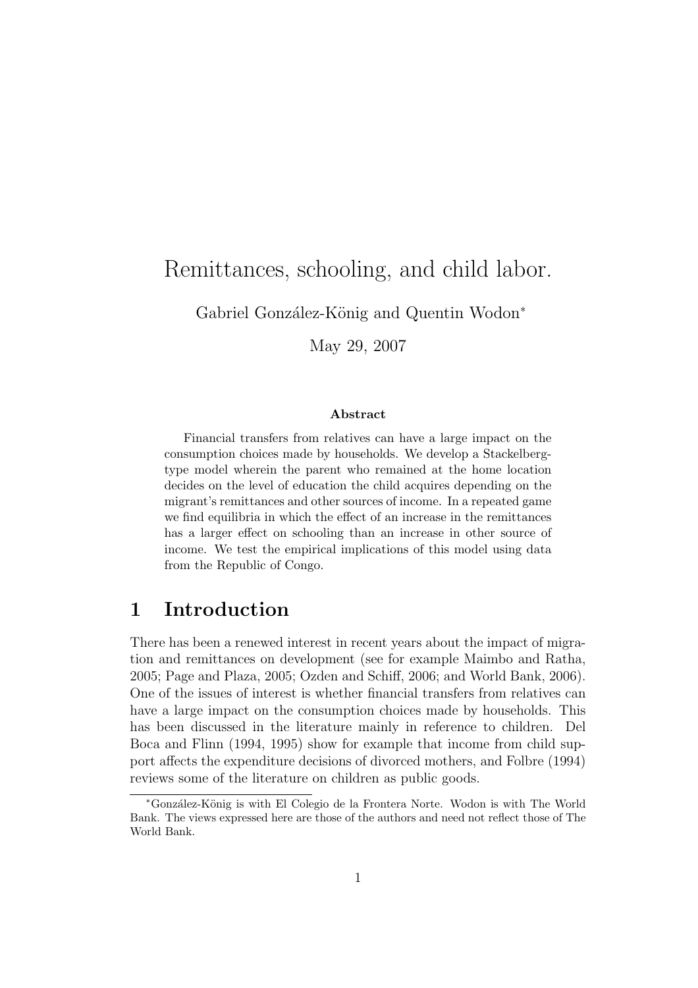# Remittances, schooling, and child labor.

Gabriel González-König and Quentin Wodon<sup>∗</sup>

May 29, 2007

#### Abstract

Financial transfers from relatives can have a large impact on the consumption choices made by households. We develop a Stackelbergtype model wherein the parent who remained at the home location decides on the level of education the child acquires depending on the migrant's remittances and other sources of income. In a repeated game we find equilibria in which the effect of an increase in the remittances has a larger effect on schooling than an increase in other source of income. We test the empirical implications of this model using data from the Republic of Congo.

### 1 Introduction

There has been a renewed interest in recent years about the impact of migration and remittances on development (see for example Maimbo and Ratha, 2005; Page and Plaza, 2005; Ozden and Schiff, 2006; and World Bank, 2006). One of the issues of interest is whether financial transfers from relatives can have a large impact on the consumption choices made by households. This has been discussed in the literature mainly in reference to children. Del Boca and Flinn (1994, 1995) show for example that income from child support affects the expenditure decisions of divorced mothers, and Folbre (1994) reviews some of the literature on children as public goods.

<sup>∗</sup>Gonz´alez-K¨onig is with El Colegio de la Frontera Norte. Wodon is with The World Bank. The views expressed here are those of the authors and need not reflect those of The World Bank.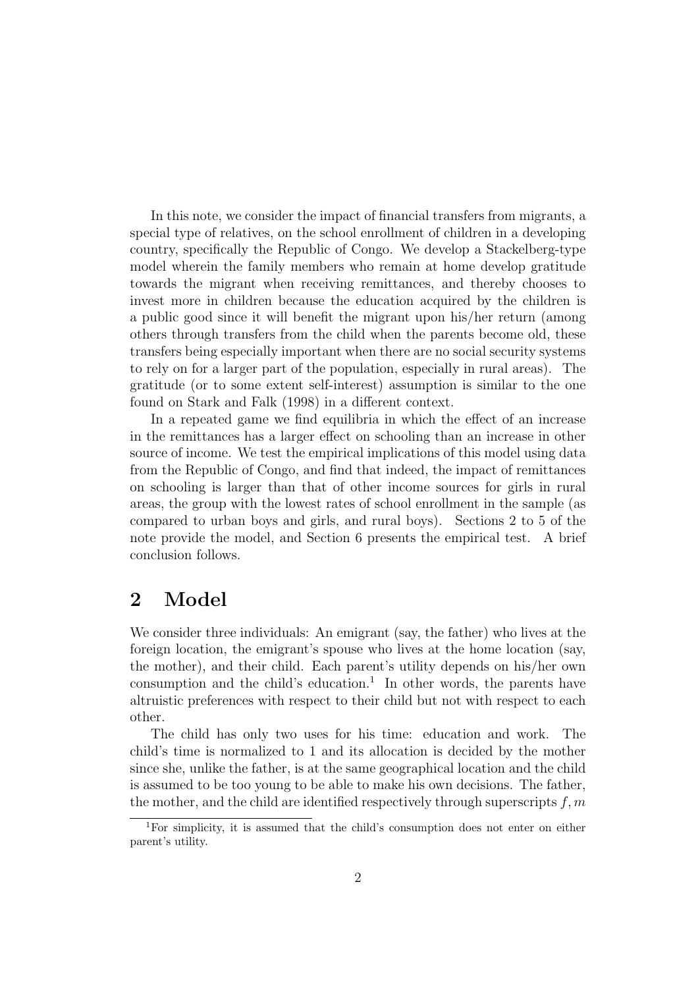In this note, we consider the impact of financial transfers from migrants, a special type of relatives, on the school enrollment of children in a developing country, specifically the Republic of Congo. We develop a Stackelberg-type model wherein the family members who remain at home develop gratitude towards the migrant when receiving remittances, and thereby chooses to invest more in children because the education acquired by the children is a public good since it will benefit the migrant upon his/her return (among others through transfers from the child when the parents become old, these transfers being especially important when there are no social security systems to rely on for a larger part of the population, especially in rural areas). The gratitude (or to some extent self-interest) assumption is similar to the one found on Stark and Falk (1998) in a different context.

In a repeated game we find equilibria in which the effect of an increase in the remittances has a larger effect on schooling than an increase in other source of income. We test the empirical implications of this model using data from the Republic of Congo, and find that indeed, the impact of remittances on schooling is larger than that of other income sources for girls in rural areas, the group with the lowest rates of school enrollment in the sample (as compared to urban boys and girls, and rural boys). Sections 2 to 5 of the note provide the model, and Section 6 presents the empirical test. A brief conclusion follows.

### 2 Model

We consider three individuals: An emigrant (say, the father) who lives at the foreign location, the emigrant's spouse who lives at the home location (say, the mother), and their child. Each parent's utility depends on his/her own consumption and the child's education.<sup>1</sup> In other words, the parents have altruistic preferences with respect to their child but not with respect to each other.

The child has only two uses for his time: education and work. The child's time is normalized to 1 and its allocation is decided by the mother since she, unlike the father, is at the same geographical location and the child is assumed to be too young to be able to make his own decisions. The father, the mother, and the child are identified respectively through superscripts  $f, m$ 

<sup>1</sup>For simplicity, it is assumed that the child's consumption does not enter on either parent's utility.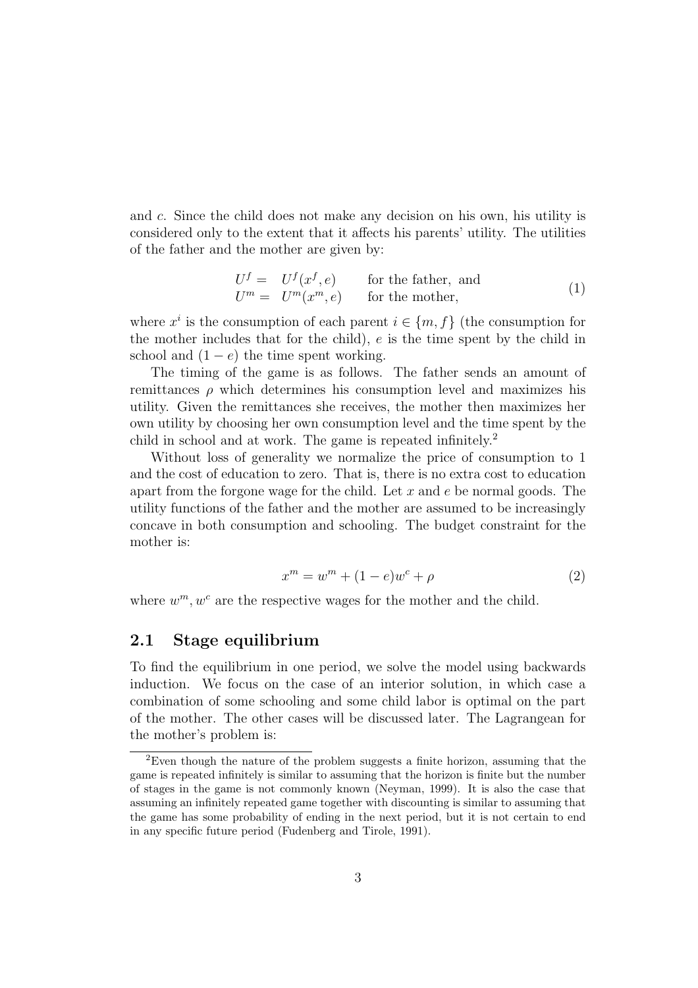and c. Since the child does not make any decision on his own, his utility is considered only to the extent that it affects his parents' utility. The utilities of the father and the mother are given by:

$$
Uf = Uf(xf, e)
$$
 for the father, and  

$$
Um = Um(xm, e)
$$
 for the mother, (1)

where  $x^i$  is the consumption of each parent  $i \in \{m, f\}$  (the consumption for the mother includes that for the child), e is the time spent by the child in school and  $(1 - e)$  the time spent working.

The timing of the game is as follows. The father sends an amount of remittances  $\rho$  which determines his consumption level and maximizes his utility. Given the remittances she receives, the mother then maximizes her own utility by choosing her own consumption level and the time spent by the child in school and at work. The game is repeated infinitely.<sup>2</sup>

Without loss of generality we normalize the price of consumption to 1 and the cost of education to zero. That is, there is no extra cost to education apart from the forgone wage for the child. Let  $x$  and  $e$  be normal goods. The utility functions of the father and the mother are assumed to be increasingly concave in both consumption and schooling. The budget constraint for the mother is:

$$
x^{m} = w^{m} + (1 - e)w^{c} + \rho \tag{2}
$$

where  $w^m, w^c$  are the respective wages for the mother and the child.

### 2.1 Stage equilibrium

To find the equilibrium in one period, we solve the model using backwards induction. We focus on the case of an interior solution, in which case a combination of some schooling and some child labor is optimal on the part of the mother. The other cases will be discussed later. The Lagrangean for the mother's problem is:

<sup>2</sup>Even though the nature of the problem suggests a finite horizon, assuming that the game is repeated infinitely is similar to assuming that the horizon is finite but the number of stages in the game is not commonly known (Neyman, 1999). It is also the case that assuming an infinitely repeated game together with discounting is similar to assuming that the game has some probability of ending in the next period, but it is not certain to end in any specific future period (Fudenberg and Tirole, 1991).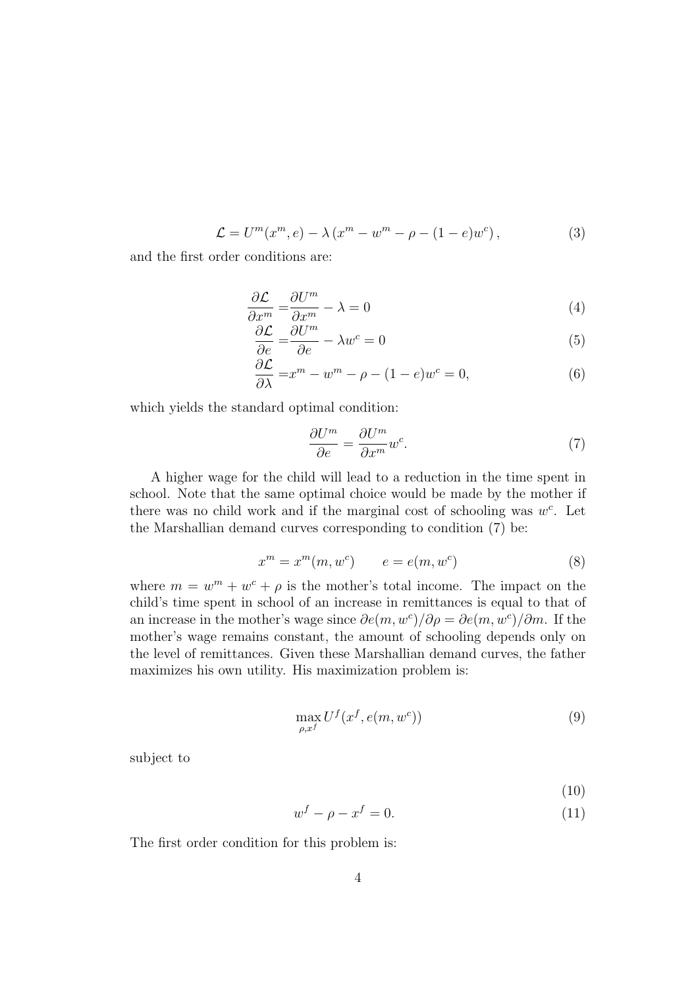$$
\mathcal{L} = U^{m}(x^{m}, e) - \lambda (x^{m} - w^{m} - \rho - (1 - e)w^{c}), \qquad (3)
$$

and the first order conditions are:

$$
\frac{\partial \mathcal{L}}{\partial x^m} = \frac{\partial U^m}{\partial x^m} - \lambda = 0 \tag{4}
$$

$$
\frac{\partial \mathcal{L}}{\partial e} = \frac{\partial U^m}{\partial e} - \lambda w^c = 0
$$
\n(5)

$$
\frac{\partial \mathcal{L}}{\partial \lambda} = x^m - w^m - \rho - (1 - e)w^c = 0,\tag{6}
$$

which yields the standard optimal condition:

$$
\frac{\partial U^m}{\partial e} = \frac{\partial U^m}{\partial x^m} w^c.
$$
\n(7)

A higher wage for the child will lead to a reduction in the time spent in school. Note that the same optimal choice would be made by the mother if there was no child work and if the marginal cost of schooling was  $w^c$ . Let the Marshallian demand curves corresponding to condition (7) be:

$$
x^m = x^m(m, w^c) \qquad e = e(m, w^c) \tag{8}
$$

where  $m = w^m + w^c + \rho$  is the mother's total income. The impact on the child's time spent in school of an increase in remittances is equal to that of an increase in the mother's wage since  $\partial e(m, w^c)/\partial \rho = \partial e(m, w^c)/\partial m$ . If the mother's wage remains constant, the amount of schooling depends only on the level of remittances. Given these Marshallian demand curves, the father maximizes his own utility. His maximization problem is:

$$
\max_{\rho, x^f} U^f(x^f, e(m, w^c))\tag{9}
$$

subject to

$$
(10)
$$

$$
w^f - \rho - x^f = 0. \tag{11}
$$

The first order condition for this problem is: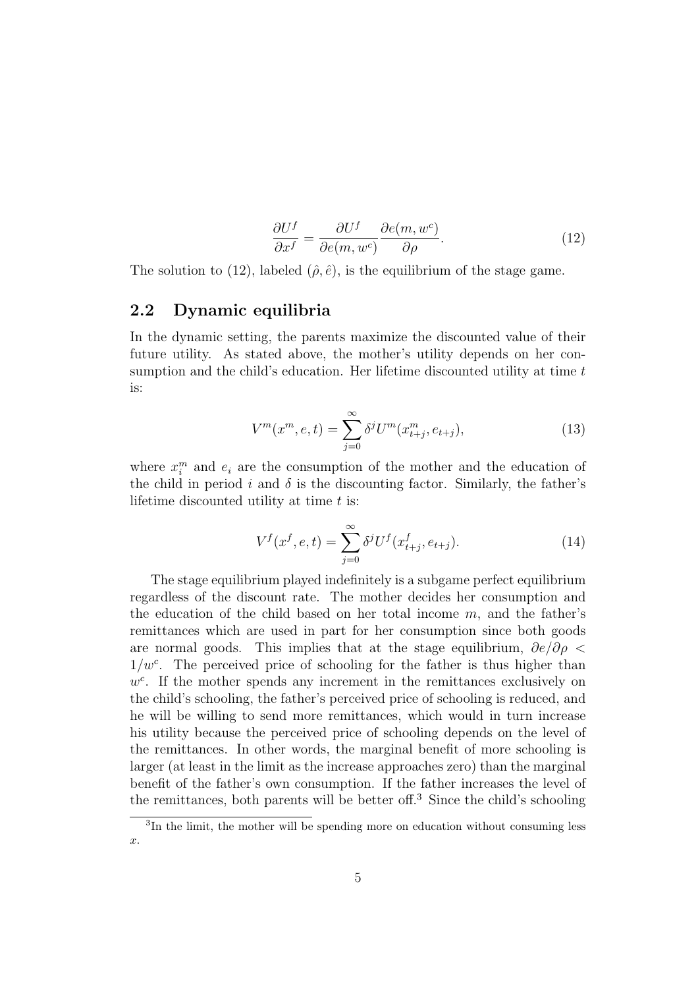$$
\frac{\partial U^f}{\partial x^f} = \frac{\partial U^f}{\partial e(m, w^c)} \frac{\partial e(m, w^c)}{\partial \rho}.
$$
\n(12)

The solution to (12), labeled  $(\hat{\rho}, \hat{e})$ , is the equilibrium of the stage game.

#### 2.2 Dynamic equilibria

In the dynamic setting, the parents maximize the discounted value of their future utility. As stated above, the mother's utility depends on her consumption and the child's education. Her lifetime discounted utility at time t is:

$$
V^{m}(x^{m}, e, t) = \sum_{j=0}^{\infty} \delta^{j} U^{m}(x_{t+j}^{m}, e_{t+j}),
$$
\n(13)

where  $x_i^m$  and  $e_i$  are the consumption of the mother and the education of the child in period i and  $\delta$  is the discounting factor. Similarly, the father's lifetime discounted utility at time  $t$  is:

$$
V^f(x^f, e, t) = \sum_{j=0}^{\infty} \delta^j U^f(x^f_{t+j}, e_{t+j}).
$$
\n(14)

The stage equilibrium played indefinitely is a subgame perfect equilibrium regardless of the discount rate. The mother decides her consumption and the education of the child based on her total income  $m$ , and the father's remittances which are used in part for her consumption since both goods are normal goods. This implies that at the stage equilibrium,  $\partial e/\partial \rho$  $1/w<sup>c</sup>$ . The perceived price of schooling for the father is thus higher than  $w<sup>c</sup>$ . If the mother spends any increment in the remittances exclusively on the child's schooling, the father's perceived price of schooling is reduced, and he will be willing to send more remittances, which would in turn increase his utility because the perceived price of schooling depends on the level of the remittances. In other words, the marginal benefit of more schooling is larger (at least in the limit as the increase approaches zero) than the marginal benefit of the father's own consumption. If the father increases the level of the remittances, both parents will be better of  $5^3$  Since the child's schooling

<sup>3</sup> In the limit, the mother will be spending more on education without consuming less x.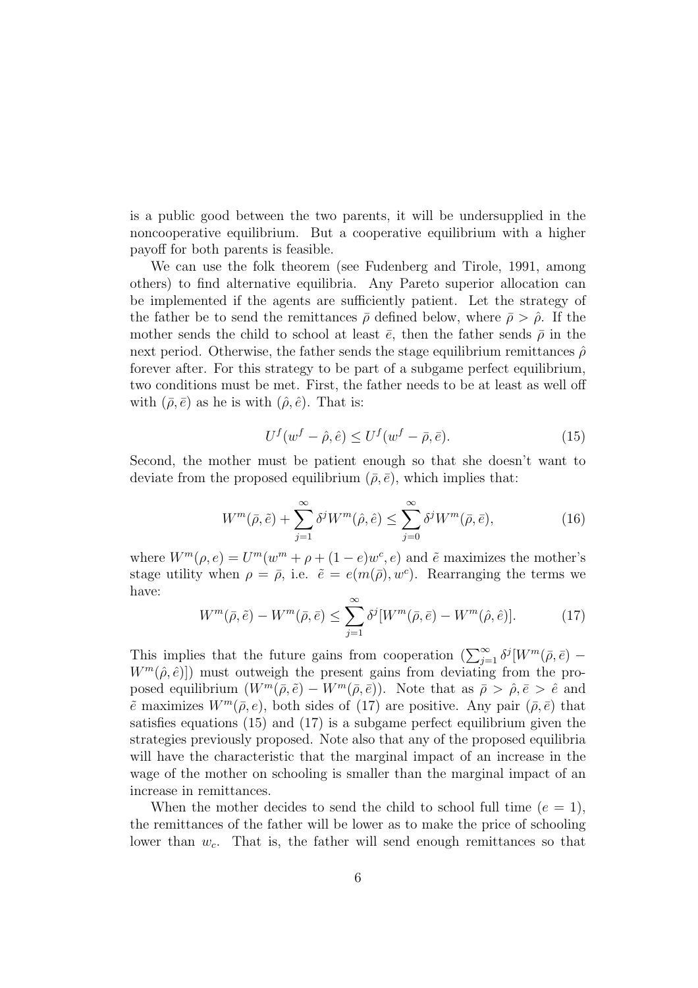is a public good between the two parents, it will be undersupplied in the noncooperative equilibrium. But a cooperative equilibrium with a higher payoff for both parents is feasible.

We can use the folk theorem (see Fudenberg and Tirole, 1991, among others) to find alternative equilibria. Any Pareto superior allocation can be implemented if the agents are sufficiently patient. Let the strategy of the father be to send the remittances  $\bar{\rho}$  defined below, where  $\bar{\rho} > \hat{\rho}$ . If the mother sends the child to school at least  $\bar{e}$ , then the father sends  $\bar{\rho}$  in the next period. Otherwise, the father sends the stage equilibrium remittances  $\hat{\rho}$ forever after. For this strategy to be part of a subgame perfect equilibrium, two conditions must be met. First, the father needs to be at least as well off with  $(\bar{\rho}, \bar{e})$  as he is with  $(\hat{\rho}, \hat{e})$ . That is:

$$
U^f(w^f - \hat{\rho}, \hat{e}) \le U^f(w^f - \bar{\rho}, \bar{e}).\tag{15}
$$

Second, the mother must be patient enough so that she doesn't want to deviate from the proposed equilibrium  $(\bar{\rho}, \bar{e})$ , which implies that:

$$
W^{m}(\bar{\rho}, \tilde{e}) + \sum_{j=1}^{\infty} \delta^{j} W^{m}(\hat{\rho}, \hat{e}) \le \sum_{j=0}^{\infty} \delta^{j} W^{m}(\bar{\rho}, \bar{e}), \qquad (16)
$$

where  $W^m(\rho, e) = U^m(w^m + \rho + (1 - e)w^e, e)$  and  $\tilde{e}$  maximizes the mother's stage utility when  $\rho = \bar{\rho}$ , i.e.  $\tilde{e} = e(m(\bar{\rho}), w^c)$ . Rearranging the terms we have:

$$
W^m(\bar{\rho}, \tilde{e}) - W^m(\bar{\rho}, \bar{e}) \le \sum_{j=1}^{\infty} \delta^j [W^m(\bar{\rho}, \bar{e}) - W^m(\hat{\rho}, \hat{e})]. \tag{17}
$$

This implies that the future gains from cooperation  $\left(\sum_{j=1}^{\infty} \delta^j [W^m(\bar{\rho}, \bar{e})] W^m(\hat{\rho}, \hat{e})$ ) must outweigh the present gains from deviating from the proposed equilibrium  $(W^m(\bar{\rho}, \tilde{e}) - W^m(\bar{\rho}, \bar{e}))$ . Note that as  $\bar{\rho} > \hat{\rho}, \bar{e} > \hat{e}$  and  $\tilde{e}$  maximizes  $W^m(\bar{\rho}, e)$ , both sides of (17) are positive. Any pair  $(\bar{\rho}, \bar{e})$  that satisfies equations (15) and (17) is a subgame perfect equilibrium given the strategies previously proposed. Note also that any of the proposed equilibria will have the characteristic that the marginal impact of an increase in the wage of the mother on schooling is smaller than the marginal impact of an increase in remittances.

When the mother decides to send the child to school full time  $(e = 1)$ , the remittances of the father will be lower as to make the price of schooling lower than  $w_c$ . That is, the father will send enough remittances so that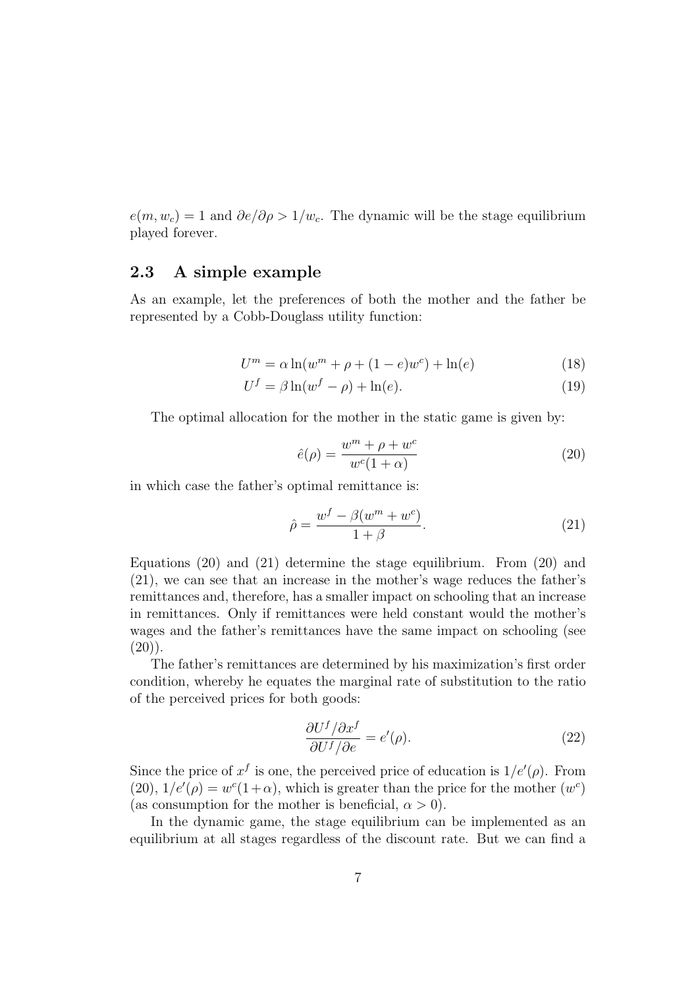$e(m, w_c) = 1$  and  $\partial e/\partial \rho > 1/w_c$ . The dynamic will be the stage equilibrium played forever.

#### 2.3 A simple example

As an example, let the preferences of both the mother and the father be represented by a Cobb-Douglass utility function:

$$
U^{m} = \alpha \ln(w^{m} + \rho + (1 - e)w^{c}) + \ln(e)
$$
 (18)

$$
U^f = \beta \ln(w^f - \rho) + \ln(e). \tag{19}
$$

The optimal allocation for the mother in the static game is given by:

$$
\hat{e}(\rho) = \frac{w^m + \rho + w^c}{w^c(1+\alpha)}\tag{20}
$$

in which case the father's optimal remittance is:

$$
\hat{\rho} = \frac{w^f - \beta(w^m + w^c)}{1 + \beta}.
$$
\n(21)

Equations (20) and (21) determine the stage equilibrium. From (20) and (21), we can see that an increase in the mother's wage reduces the father's remittances and, therefore, has a smaller impact on schooling that an increase in remittances. Only if remittances were held constant would the mother's wages and the father's remittances have the same impact on schooling (see  $(20)$ ).

The father's remittances are determined by his maximization's first order condition, whereby he equates the marginal rate of substitution to the ratio of the perceived prices for both goods:

$$
\frac{\partial U^f/\partial x^f}{\partial U^f/\partial e} = e'(\rho). \tag{22}
$$

Since the price of  $x^f$  is one, the perceived price of education is  $1/e'(\rho)$ . From (20),  $1/e'(\rho) = w^c(1+\alpha)$ , which is greater than the price for the mother  $(w^c)$ (as consumption for the mother is beneficial,  $\alpha > 0$ ).

In the dynamic game, the stage equilibrium can be implemented as an equilibrium at all stages regardless of the discount rate. But we can find a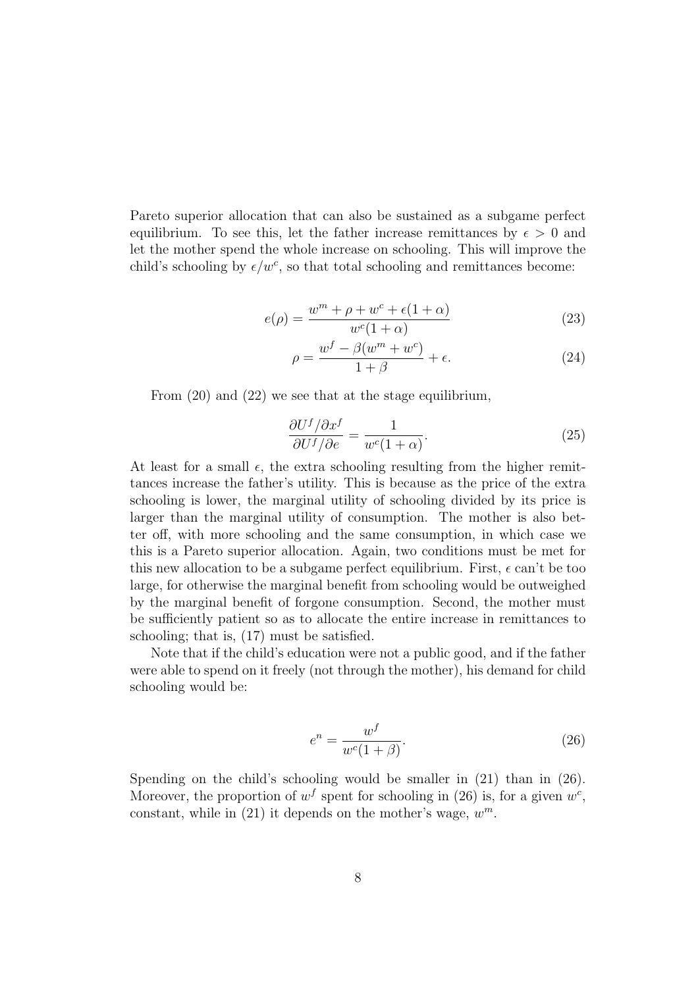Pareto superior allocation that can also be sustained as a subgame perfect equilibrium. To see this, let the father increase remittances by  $\epsilon > 0$  and let the mother spend the whole increase on schooling. This will improve the child's schooling by  $\epsilon/w^c$ , so that total schooling and remittances become:

$$
e(\rho) = \frac{w^m + \rho + w^c + \epsilon(1 + \alpha)}{w^c(1 + \alpha)}
$$
\n(23)

$$
\rho = \frac{w^f - \beta(w^m + w^c)}{1 + \beta} + \epsilon.
$$
\n(24)

From (20) and (22) we see that at the stage equilibrium,

$$
\frac{\partial U^f/\partial x^f}{\partial U^f/\partial e} = \frac{1}{w^c(1+\alpha)}.\tag{25}
$$

At least for a small  $\epsilon$ , the extra schooling resulting from the higher remittances increase the father's utility. This is because as the price of the extra schooling is lower, the marginal utility of schooling divided by its price is larger than the marginal utility of consumption. The mother is also better off, with more schooling and the same consumption, in which case we this is a Pareto superior allocation. Again, two conditions must be met for this new allocation to be a subgame perfect equilibrium. First,  $\epsilon$  can't be too large, for otherwise the marginal benefit from schooling would be outweighed by the marginal benefit of forgone consumption. Second, the mother must be sufficiently patient so as to allocate the entire increase in remittances to schooling; that is, (17) must be satisfied.

Note that if the child's education were not a public good, and if the father were able to spend on it freely (not through the mother), his demand for child schooling would be:

$$
e^n = \frac{w^f}{w^c(1+\beta)}.\tag{26}
$$

Spending on the child's schooling would be smaller in  $(21)$  than in  $(26)$ . Moreover, the proportion of  $w<sup>f</sup>$  spent for schooling in (26) is, for a given  $w<sup>c</sup>$ , constant, while in  $(21)$  it depends on the mother's wage,  $w^m$ .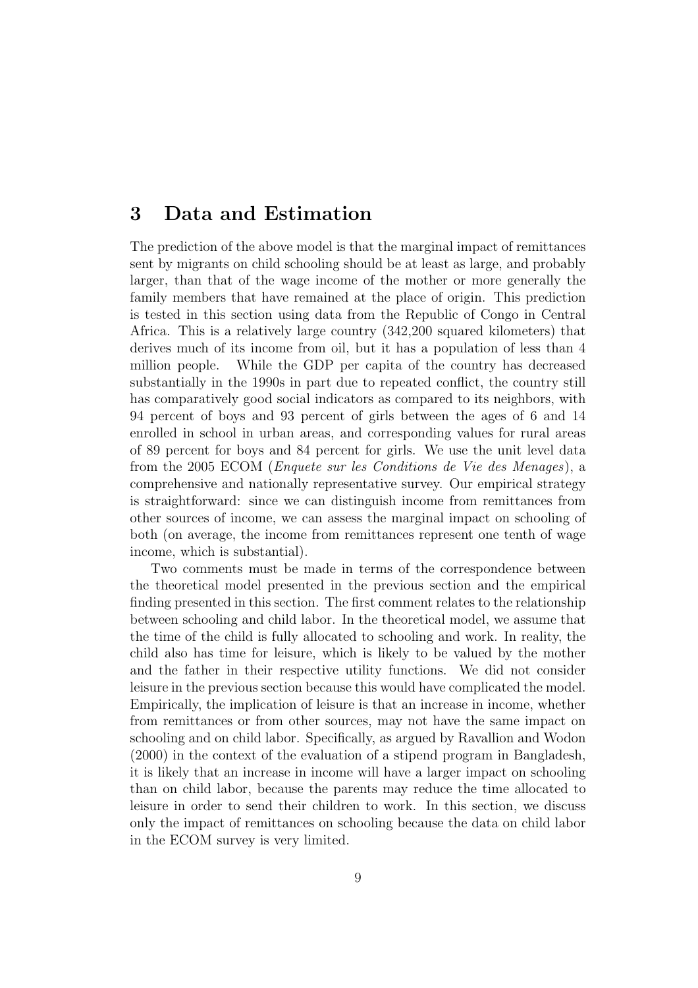### 3 Data and Estimation

The prediction of the above model is that the marginal impact of remittances sent by migrants on child schooling should be at least as large, and probably larger, than that of the wage income of the mother or more generally the family members that have remained at the place of origin. This prediction is tested in this section using data from the Republic of Congo in Central Africa. This is a relatively large country (342,200 squared kilometers) that derives much of its income from oil, but it has a population of less than 4 million people. While the GDP per capita of the country has decreased substantially in the 1990s in part due to repeated conflict, the country still has comparatively good social indicators as compared to its neighbors, with 94 percent of boys and 93 percent of girls between the ages of 6 and 14 enrolled in school in urban areas, and corresponding values for rural areas of 89 percent for boys and 84 percent for girls. We use the unit level data from the 2005 ECOM (Enquete sur les Conditions de Vie des Menages), a comprehensive and nationally representative survey. Our empirical strategy is straightforward: since we can distinguish income from remittances from other sources of income, we can assess the marginal impact on schooling of both (on average, the income from remittances represent one tenth of wage income, which is substantial).

Two comments must be made in terms of the correspondence between the theoretical model presented in the previous section and the empirical finding presented in this section. The first comment relates to the relationship between schooling and child labor. In the theoretical model, we assume that the time of the child is fully allocated to schooling and work. In reality, the child also has time for leisure, which is likely to be valued by the mother and the father in their respective utility functions. We did not consider leisure in the previous section because this would have complicated the model. Empirically, the implication of leisure is that an increase in income, whether from remittances or from other sources, may not have the same impact on schooling and on child labor. Specifically, as argued by Ravallion and Wodon (2000) in the context of the evaluation of a stipend program in Bangladesh, it is likely that an increase in income will have a larger impact on schooling than on child labor, because the parents may reduce the time allocated to leisure in order to send their children to work. In this section, we discuss only the impact of remittances on schooling because the data on child labor in the ECOM survey is very limited.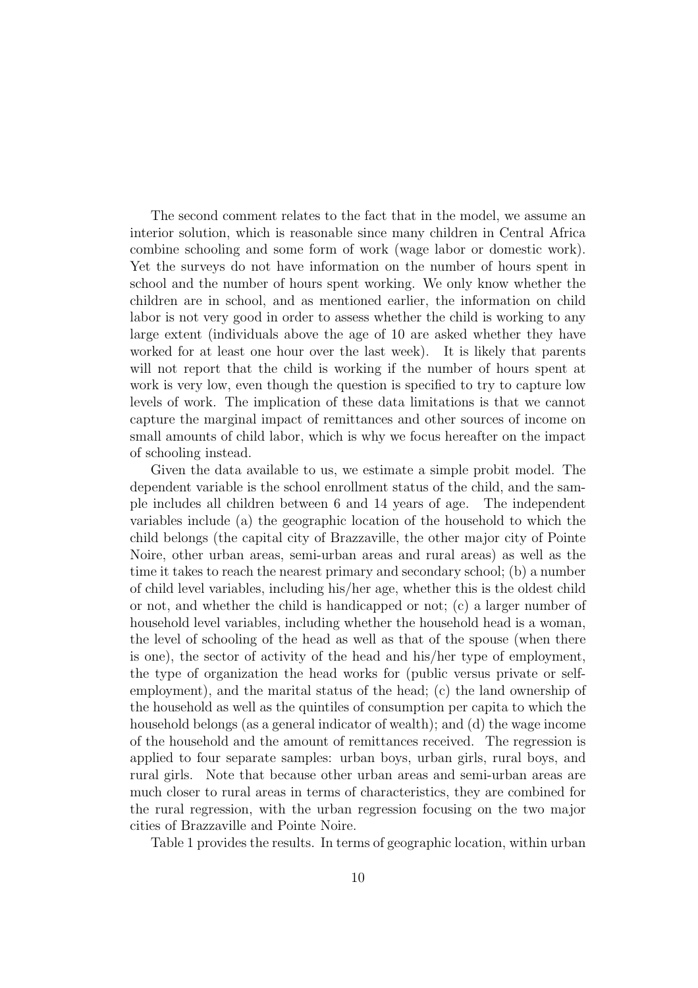The second comment relates to the fact that in the model, we assume an interior solution, which is reasonable since many children in Central Africa combine schooling and some form of work (wage labor or domestic work). Yet the surveys do not have information on the number of hours spent in school and the number of hours spent working. We only know whether the children are in school, and as mentioned earlier, the information on child labor is not very good in order to assess whether the child is working to any large extent (individuals above the age of 10 are asked whether they have worked for at least one hour over the last week). It is likely that parents will not report that the child is working if the number of hours spent at work is very low, even though the question is specified to try to capture low levels of work. The implication of these data limitations is that we cannot capture the marginal impact of remittances and other sources of income on small amounts of child labor, which is why we focus hereafter on the impact of schooling instead.

Given the data available to us, we estimate a simple probit model. The dependent variable is the school enrollment status of the child, and the sample includes all children between 6 and 14 years of age. The independent variables include (a) the geographic location of the household to which the child belongs (the capital city of Brazzaville, the other major city of Pointe Noire, other urban areas, semi-urban areas and rural areas) as well as the time it takes to reach the nearest primary and secondary school; (b) a number of child level variables, including his/her age, whether this is the oldest child or not, and whether the child is handicapped or not; (c) a larger number of household level variables, including whether the household head is a woman, the level of schooling of the head as well as that of the spouse (when there is one), the sector of activity of the head and his/her type of employment, the type of organization the head works for (public versus private or selfemployment), and the marital status of the head; (c) the land ownership of the household as well as the quintiles of consumption per capita to which the household belongs (as a general indicator of wealth); and (d) the wage income of the household and the amount of remittances received. The regression is applied to four separate samples: urban boys, urban girls, rural boys, and rural girls. Note that because other urban areas and semi-urban areas are much closer to rural areas in terms of characteristics, they are combined for the rural regression, with the urban regression focusing on the two major cities of Brazzaville and Pointe Noire.

Table 1 provides the results. In terms of geographic location, within urban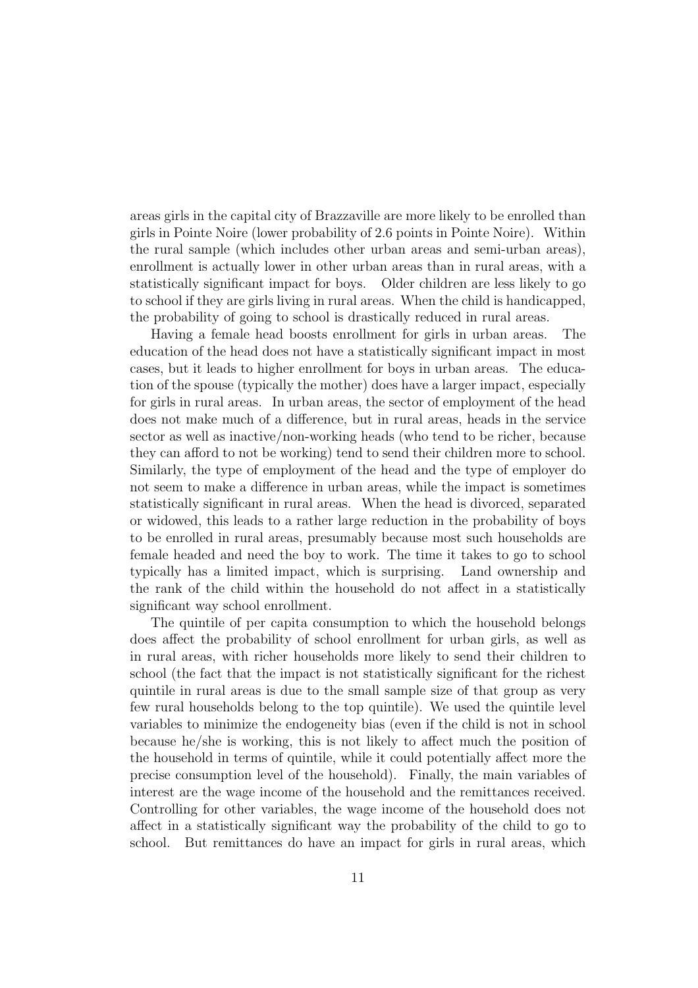areas girls in the capital city of Brazzaville are more likely to be enrolled than girls in Pointe Noire (lower probability of 2.6 points in Pointe Noire). Within the rural sample (which includes other urban areas and semi-urban areas), enrollment is actually lower in other urban areas than in rural areas, with a statistically significant impact for boys. Older children are less likely to go to school if they are girls living in rural areas. When the child is handicapped, the probability of going to school is drastically reduced in rural areas.

Having a female head boosts enrollment for girls in urban areas. The education of the head does not have a statistically significant impact in most cases, but it leads to higher enrollment for boys in urban areas. The education of the spouse (typically the mother) does have a larger impact, especially for girls in rural areas. In urban areas, the sector of employment of the head does not make much of a difference, but in rural areas, heads in the service sector as well as inactive/non-working heads (who tend to be richer, because they can afford to not be working) tend to send their children more to school. Similarly, the type of employment of the head and the type of employer do not seem to make a difference in urban areas, while the impact is sometimes statistically significant in rural areas. When the head is divorced, separated or widowed, this leads to a rather large reduction in the probability of boys to be enrolled in rural areas, presumably because most such households are female headed and need the boy to work. The time it takes to go to school typically has a limited impact, which is surprising. Land ownership and the rank of the child within the household do not affect in a statistically significant way school enrollment.

The quintile of per capita consumption to which the household belongs does affect the probability of school enrollment for urban girls, as well as in rural areas, with richer households more likely to send their children to school (the fact that the impact is not statistically significant for the richest quintile in rural areas is due to the small sample size of that group as very few rural households belong to the top quintile). We used the quintile level variables to minimize the endogeneity bias (even if the child is not in school because he/she is working, this is not likely to affect much the position of the household in terms of quintile, while it could potentially affect more the precise consumption level of the household). Finally, the main variables of interest are the wage income of the household and the remittances received. Controlling for other variables, the wage income of the household does not affect in a statistically significant way the probability of the child to go to school. But remittances do have an impact for girls in rural areas, which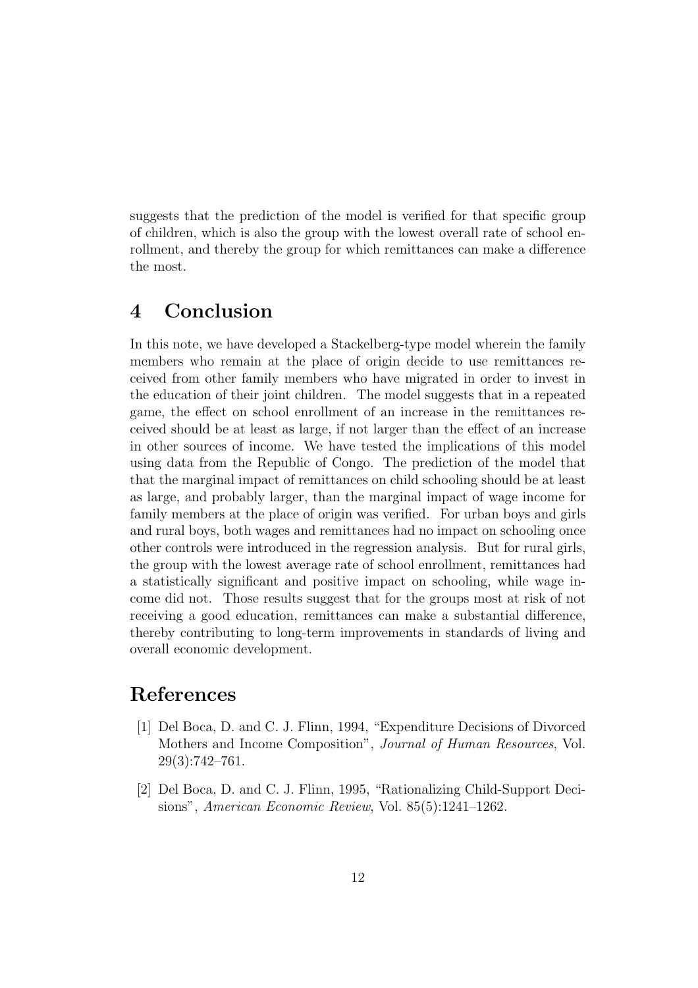suggests that the prediction of the model is verified for that specific group of children, which is also the group with the lowest overall rate of school enrollment, and thereby the group for which remittances can make a difference the most.

## 4 Conclusion

In this note, we have developed a Stackelberg-type model wherein the family members who remain at the place of origin decide to use remittances received from other family members who have migrated in order to invest in the education of their joint children. The model suggests that in a repeated game, the effect on school enrollment of an increase in the remittances received should be at least as large, if not larger than the effect of an increase in other sources of income. We have tested the implications of this model using data from the Republic of Congo. The prediction of the model that that the marginal impact of remittances on child schooling should be at least as large, and probably larger, than the marginal impact of wage income for family members at the place of origin was verified. For urban boys and girls and rural boys, both wages and remittances had no impact on schooling once other controls were introduced in the regression analysis. But for rural girls, the group with the lowest average rate of school enrollment, remittances had a statistically significant and positive impact on schooling, while wage income did not. Those results suggest that for the groups most at risk of not receiving a good education, remittances can make a substantial difference, thereby contributing to long-term improvements in standards of living and overall economic development.

# References

- [1] Del Boca, D. and C. J. Flinn, 1994, "Expenditure Decisions of Divorced Mothers and Income Composition", Journal of Human Resources, Vol. 29(3):742–761.
- [2] Del Boca, D. and C. J. Flinn, 1995, "Rationalizing Child-Support Decisions", American Economic Review, Vol. 85(5):1241–1262.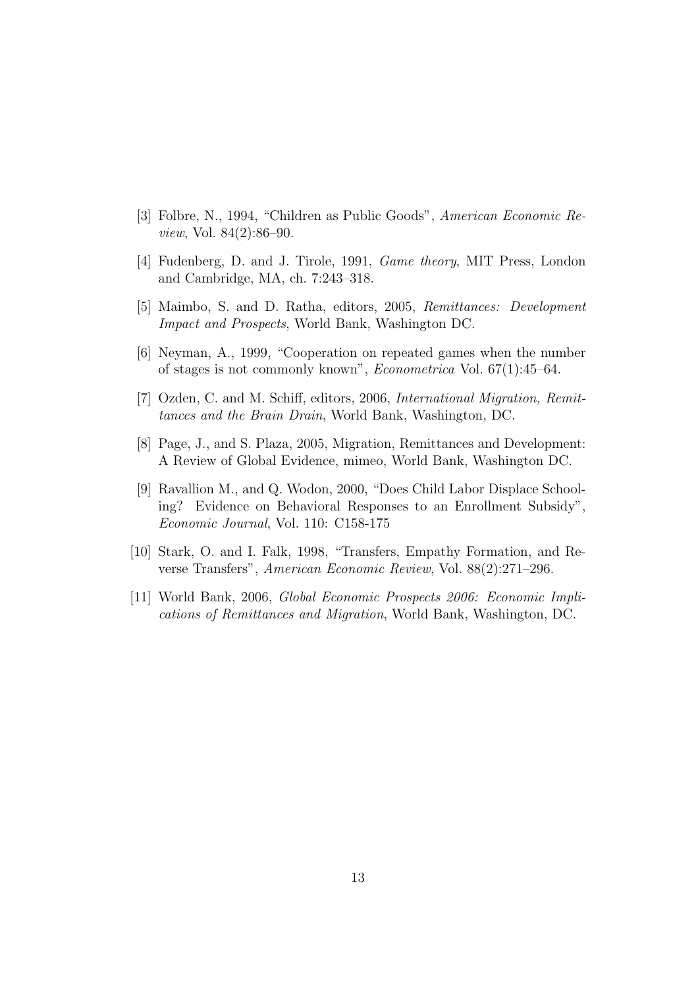- [3] Folbre, N., 1994, "Children as Public Goods", American Economic Review, Vol. 84(2):86–90.
- [4] Fudenberg, D. and J. Tirole, 1991, Game theory, MIT Press, London and Cambridge, MA, ch. 7:243–318.
- [5] Maimbo, S. and D. Ratha, editors, 2005, Remittances: Development Impact and Prospects, World Bank, Washington DC.
- [6] Neyman, A., 1999, "Cooperation on repeated games when the number of stages is not commonly known", Econometrica Vol. 67(1):45–64.
- [7] Ozden, C. and M. Schiff, editors, 2006, International Migration, Remittances and the Brain Drain, World Bank, Washington, DC.
- [8] Page, J., and S. Plaza, 2005, Migration, Remittances and Development: A Review of Global Evidence, mimeo, World Bank, Washington DC.
- [9] Ravallion M., and Q. Wodon, 2000, "Does Child Labor Displace Schooling? Evidence on Behavioral Responses to an Enrollment Subsidy", Economic Journal, Vol. 110: C158-175
- [10] Stark, O. and I. Falk, 1998, "Transfers, Empathy Formation, and Reverse Transfers", American Economic Review, Vol. 88(2):271–296.
- [11] World Bank, 2006, Global Economic Prospects 2006: Economic Implications of Remittances and Migration, World Bank, Washington, DC.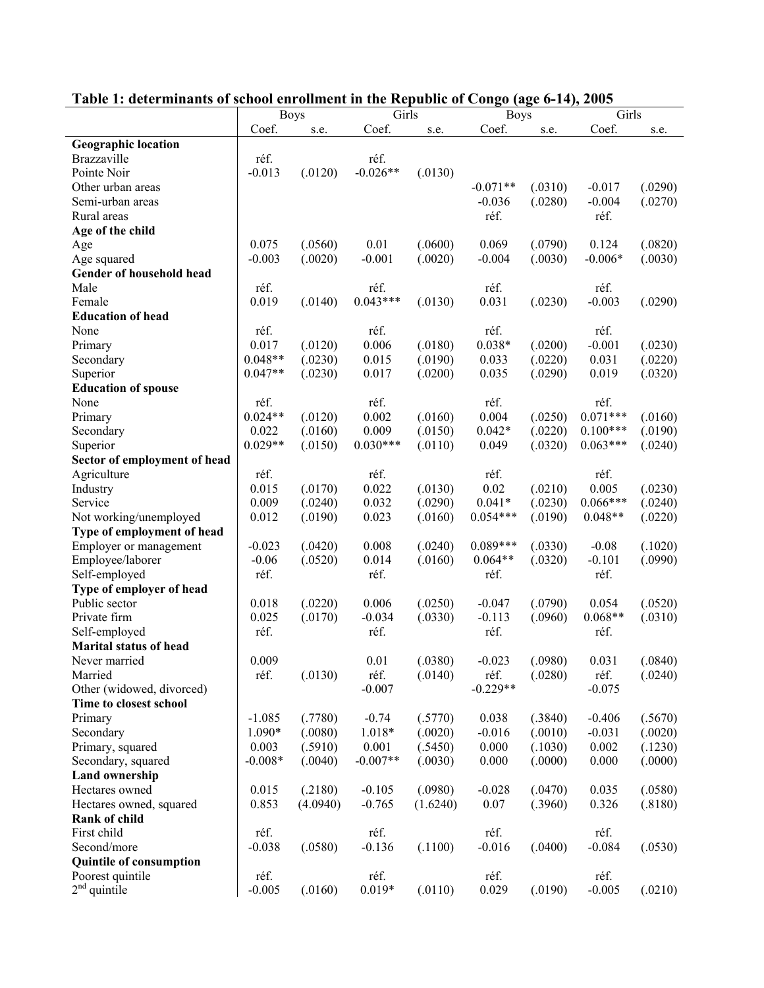| Table 1. determinants of school enforment in the Kepublic of Congo (age 0-14), 2005<br>Girls<br>Girls |                              |          |               |          |                              |         |               |         |  |  |  |
|-------------------------------------------------------------------------------------------------------|------------------------------|----------|---------------|----------|------------------------------|---------|---------------|---------|--|--|--|
|                                                                                                       | <b>Boys</b><br>Coef.<br>s.e. |          | Coef.<br>s.e. |          | <b>Boys</b><br>Coef.<br>s.e. |         | Coef.<br>s.e. |         |  |  |  |
| <b>Geographic location</b>                                                                            |                              |          |               |          |                              |         |               |         |  |  |  |
| Brazzaville                                                                                           | réf.                         |          | réf.          |          |                              |         |               |         |  |  |  |
| Pointe Noir                                                                                           | $-0.013$                     | (.0120)  | $-0.026**$    | (.0130)  |                              |         |               |         |  |  |  |
| Other urban areas                                                                                     |                              |          |               |          | $-0.071**$                   | (.0310) | $-0.017$      | (.0290) |  |  |  |
| Semi-urban areas                                                                                      |                              |          |               |          | $-0.036$                     | (.0280) | $-0.004$      | (.0270) |  |  |  |
| Rural areas                                                                                           |                              |          |               |          | réf.                         |         | réf.          |         |  |  |  |
| Age of the child                                                                                      |                              |          |               |          |                              |         |               |         |  |  |  |
| Age                                                                                                   | 0.075                        | (.0560)  | 0.01          | (.0600)  | 0.069                        | (.0790) | 0.124         | (.0820) |  |  |  |
| Age squared                                                                                           | $-0.003$                     | (.0020)  | $-0.001$      | (.0020)  | $-0.004$                     | (.0030) | $-0.006*$     | (.0030) |  |  |  |
| Gender of household head                                                                              |                              |          |               |          |                              |         |               |         |  |  |  |
| Male                                                                                                  | réf.                         |          | réf.          |          | réf.                         |         | réf.          |         |  |  |  |
| Female                                                                                                | 0.019                        | (.0140)  | $0.043***$    | (.0130)  | 0.031                        | (.0230) | $-0.003$      | (.0290) |  |  |  |
| <b>Education of head</b>                                                                              |                              |          |               |          |                              |         |               |         |  |  |  |
| None                                                                                                  | réf.                         |          | réf.          |          | réf.                         |         | réf.          |         |  |  |  |
| Primary                                                                                               | 0.017                        | (.0120)  | 0.006         | (.0180)  | $0.038*$                     | (.0200) | $-0.001$      | (.0230) |  |  |  |
| Secondary                                                                                             | $0.048**$                    | (.0230)  | 0.015         | (.0190)  | 0.033                        | (.0220) | 0.031         | (.0220) |  |  |  |
| Superior                                                                                              | $0.047**$                    | (.0230)  | 0.017         | (.0200)  | 0.035                        | (.0290) | 0.019         | (.0320) |  |  |  |
| <b>Education of spouse</b>                                                                            |                              |          |               |          |                              |         |               |         |  |  |  |
| None                                                                                                  | réf.                         |          | réf.          |          | réf.                         |         | réf.          |         |  |  |  |
| Primary                                                                                               | $0.024**$                    | (.0120)  | 0.002         | (.0160)  | 0.004                        | (.0250) | $0.071***$    | (.0160) |  |  |  |
| Secondary                                                                                             | 0.022                        | (.0160)  | 0.009         | (.0150)  | $0.042*$                     | (.0220) | $0.100***$    | (.0190) |  |  |  |
| Superior                                                                                              | $0.029**$                    | (.0150)  | $0.030***$    | (.0110)  | 0.049                        | (.0320) | $0.063***$    | (.0240) |  |  |  |
| Sector of employment of head                                                                          |                              |          |               |          |                              |         |               |         |  |  |  |
| Agriculture                                                                                           | réf.                         |          | réf.          |          | réf.                         |         | réf.          |         |  |  |  |
| Industry                                                                                              | 0.015                        | (.0170)  | 0.022         | (.0130)  | 0.02                         | (.0210) | 0.005         | (.0230) |  |  |  |
| Service                                                                                               | 0.009                        | (.0240)  | 0.032         | (.0290)  | $0.041*$                     | (.0230) | $0.066***$    | (.0240) |  |  |  |
| Not working/unemployed                                                                                | 0.012                        | (.0190)  | 0.023         | (.0160)  | $0.054***$                   | (.0190) | $0.048**$     | (.0220) |  |  |  |
| Type of employment of head                                                                            |                              |          |               |          |                              |         |               |         |  |  |  |
| Employer or management                                                                                | $-0.023$                     | (.0420)  | 0.008         | (.0240)  | $0.089***$                   | (.0330) | $-0.08$       | (.1020) |  |  |  |
| Employee/laborer                                                                                      | $-0.06$                      | (.0520)  | 0.014         | (.0160)  | $0.064**$                    | (.0320) | $-0.101$      | (.0990) |  |  |  |
| Self-employed                                                                                         | réf.                         |          | réf.          |          | réf.                         |         | réf.          |         |  |  |  |
| Type of employer of head                                                                              |                              |          |               |          |                              |         |               |         |  |  |  |
| Public sector                                                                                         | 0.018                        | (.0220)  | 0.006         | (.0250)  | $-0.047$                     | (.0790) | 0.054         | (.0520) |  |  |  |
| Private firm                                                                                          | 0.025                        | (.0170)  | $-0.034$      | (.0330)  | $-0.113$                     | (.0960) | $0.068**$     | (.0310) |  |  |  |
| Self-employed                                                                                         | réf.                         |          | réf.          |          | réf.                         |         | réf.          |         |  |  |  |
| <b>Marital status of head</b>                                                                         |                              |          |               |          |                              |         |               |         |  |  |  |
| Never married                                                                                         | 0.009                        |          | 0.01          | (.0380)  | $-0.023$                     | (.0980) | 0.031         | (.0840) |  |  |  |
| Married                                                                                               | réf.                         | (.0130)  | réf.          | (.0140)  | réf.                         | (.0280) | réf.          | (.0240) |  |  |  |
| Other (widowed, divorced)                                                                             |                              |          | $-0.007$      |          | $-0.229**$                   |         | $-0.075$      |         |  |  |  |
| Time to closest school                                                                                |                              |          |               |          |                              |         |               |         |  |  |  |
| Primary                                                                                               | $-1.085$                     | (.7780)  | $-0.74$       | (.5770)  | 0.038                        | (.3840) | $-0.406$      | (.5670) |  |  |  |
| Secondary                                                                                             | 1.090*                       | (.0080)  | $1.018*$      | (.0020)  | $-0.016$                     | (.0010) | $-0.031$      | (.0020) |  |  |  |
| Primary, squared                                                                                      | 0.003                        | (.5910)  | 0.001         | (.5450)  | 0.000                        | (.1030) | 0.002         | (.1230) |  |  |  |
| Secondary, squared                                                                                    | $-0.008*$                    | (.0040)  | $-0.007**$    | (.0030)  | 0.000                        | (.0000) | 0.000         | (.0000) |  |  |  |
| <b>Land ownership</b>                                                                                 |                              |          |               |          |                              |         |               |         |  |  |  |
| Hectares owned                                                                                        | 0.015                        | (.2180)  | $-0.105$      | (.0980)  | $-0.028$                     | (.0470) | 0.035         | (.0580) |  |  |  |
| Hectares owned, squared                                                                               | 0.853                        | (4.0940) | $-0.765$      | (1.6240) | 0.07                         | (.3960) | 0.326         | (.8180) |  |  |  |
| Rank of child                                                                                         |                              |          |               |          |                              |         |               |         |  |  |  |
| First child                                                                                           | réf.                         |          | réf.          |          | réf.                         |         | réf.          |         |  |  |  |
| Second/more                                                                                           | $-0.038$                     | (.0580)  | $-0.136$      | (.1100)  | $-0.016$                     | (.0400) | $-0.084$      | (.0530) |  |  |  |
| <b>Quintile of consumption</b>                                                                        |                              |          |               |          |                              |         |               |         |  |  |  |
| Poorest quintile                                                                                      | réf.                         |          | réf.          |          | réf.                         |         | réf.          |         |  |  |  |
| $2nd$ quintile                                                                                        | $-0.005$                     | (.0160)  | $0.019*$      | (.0110)  | 0.029                        | (.0190) | $-0.005$      | (.0210) |  |  |  |

#### **Table 1: determinants of school enrollment in the Republic of Congo (age 6-14), 2005**